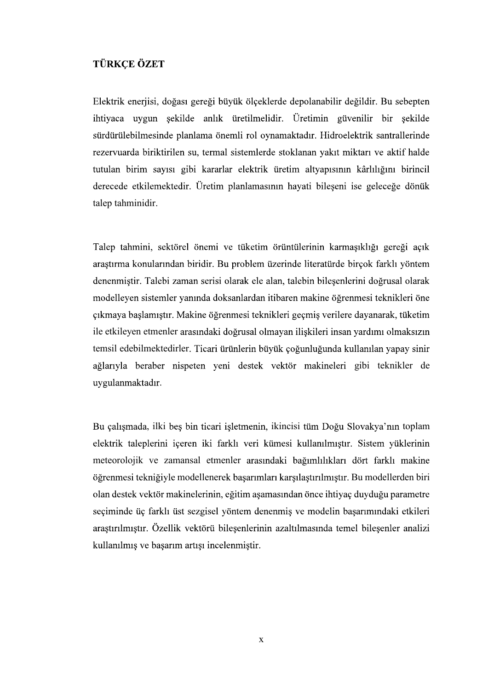## **TÜRKÇE ÖZET**

Elektrik enerjisi, doğası gereği büyük ölçeklerde depolanabilir değildir. Bu sebepten ihtiyaca uygun şekilde anlık üretilmelidir. Üretimin güvenilir bir şekilde sürdürülebilmesinde planlama önemli rol oynamaktadır. Hidroelektrik santrallerinde rezervuarda biriktirilen su, termal sistemlerde stoklanan yakıt miktarı ve aktif halde tutulan birim sayısı gibi kararlar elektrik üretim altyapısının kârlılığını birincil derecede etkilemektedir. Üretim planlamasının hayati bileşeni ise geleceğe dönük talep tahminidir.

Talep tahmini, sektörel önemi ve tüketim örüntülerinin karmasıklığı gereği açık araştırma konularından biridir. Bu problem üzerinde literatürde birçok farklı yöntem denenmiştir. Talebi zaman serisi olarak ele alan, talebin bileşenlerini doğrusal olarak modelleyen sistemler yanında doksanlardan itibaren makine öğrenmesi teknikleri öne çıkmaya başlamıştır. Makine öğrenmesi teknikleri geçmiş verilere dayanarak, tüketim ile etkileyen etmenler arasındaki doğrusal olmayan ilişkileri insan yardımı olmaksızın temsil edebilmektedirler. Ticari ürünlerin büyük çoğunluğunda kullanılan yapay sinir ağlarıyla beraber nispeten yeni destek vektör makineleri gibi teknikler de .

Bu calısmada, ilki bes bin ticari isletmenin, ikincisi tüm Doğu Slovakya'nın toplam elektrik taleplerini içeren iki farklı veri kümesi kullanılmıştır. Sistem yüklerinin meteorolojik ve zamansal etmenler öğrenmesi tekniğiyle modellenerek başarımları karşılaştırılmıştır. Bu modellerden biri olan destek vektör makinelerinin, eğitim aşamasından önce ihtiyaç duyduğu parametre seçiminde üç farklı üst sezgisel yöntem denenmiş ve modelin başarımındaki etkileri arastırılmıştır. Özellik vektörü bilesenlerinin azaltılmasında temel bilesenler analizi kullanılmıs ve basarım artısı incelenmistir.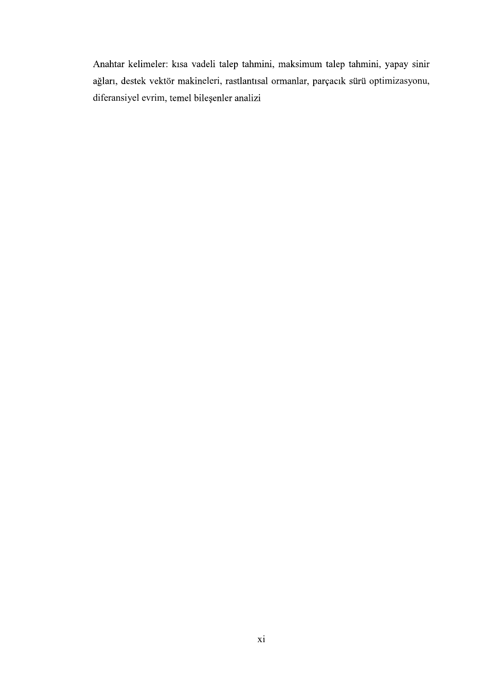Anahtar kelimeler: kısa vadeli talep tahmini, maksimum talep tahmini, yapay sinir ağları, destek vektör makineleri, rastlantısal ormanlar, parçacık sürü optimizasyonu, diferansiyel evrim, temel bileşenler analizi